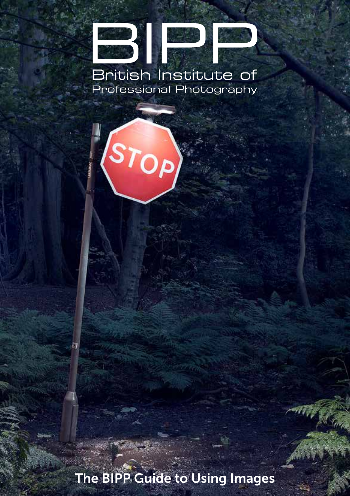## de NA British Institute of Professional Photography

STOP)

The BIPP Guide to Using Images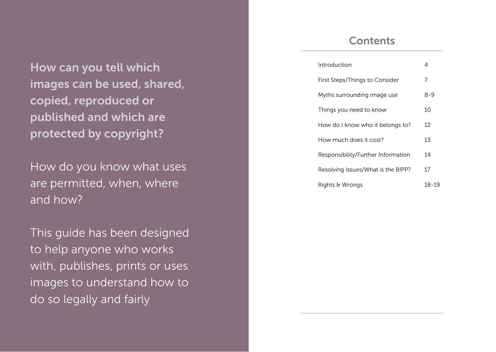How can you tell which images can be used, shared, copied, reproduced or published and which are protected by copyright?

How do you know what uses are permitted, when, where and how?

This guide has been designed to help anyone who works with, publishes, prints or uses images to understand how to do so legally and fairly

## **Contents**

| Introduction                       | 4       |
|------------------------------------|---------|
| First Steps/Things to Consider     | 7       |
| Myths surrounding image use        | $8 - 9$ |
| Things you need to know            | 10      |
| How do I know who it belongs to?   | 12      |
| How much does it cost?             | 13      |
| Responsibility/Further Information | 14      |
| Resolving Issues/What is the BIPP? | 17      |
| Rights & Wrongs                    | 18-19   |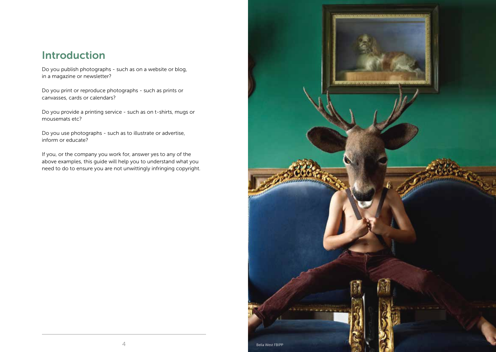# Introduction

Do you publish photographs - such as on a website or blog, in a magazine or newsletter?

Do you print or reproduce photographs - such as prints or canvasses, cards or calendars?

Do you provide a printing service - such as on t-shirts, mugs or mousemats etc?

Do you use photographs - such as to illustrate or advertise, inform or educate?

If you, or the company you work for, answer yes to any of the above examples, this guide will help you to understand what you need to do to ensure you are not unwittingly infringing copyright.

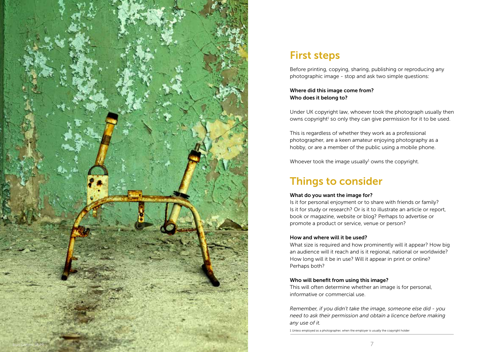

# First steps

Before printing, copying, sharing, publishing or reproducing any photographic image - stop and ask two simple questions:

### Where did this image come from? Who does it belong to?

Under UK copyright law, whoever took the photograph usually then owns copyright<sup>1</sup> so only they can give permission for it to be used.

This is regardless of whether they work as a professional photographer, are a keen amateur enjoying photography as a hobby, or are a member of the public using a mobile phone.

Whoever took the image usually<sup>1</sup> owns the copyright.

# Things to consider

### What do you want the image for?

Is it for personal enjoyment or to share with friends or family? Is it for study or research? Or is it to illustrate an article or report, book or magazine, website or blog? Perhaps to advertise or promote a product or service, venue or person?

### How and where will it be used?

What size is required and how prominently will it appear? How big an audience will it reach and is it regional, national or worldwide? How long will it be in use? Will it appear in print or online? Perhaps both?

### Who will benefit from using this image?

This will often determine whether an image is for personal, informative or commercial use.

*Remember, if you didn't take the image, someone else did - you need to ask their permission and obtain a licence before making any use of it.*

1 Unless employed as a photographer, when the employer is usually the copyright holder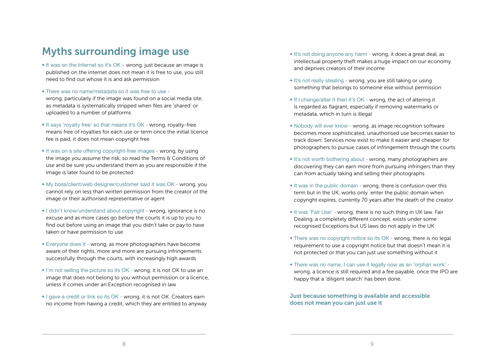# Myths surrounding image use

- It was on the Internet so it's OK wrong, just because an image is published on the internet does not mean it is free to use, you still need to find out whose it is and ask permission
- There was no name/metadata so it was free to use wrong, particularly if the image was found on a social media site, as metadata is systematically stripped when files are 'shared' or uploaded to a number of platforms
- It says 'royalty free' so that means it's OK wrong, royalty-free means free of royalties for each use or term once the initial licence fee is paid, it does not mean copyright free
- It was on a site offering copyright-free images wrong, by using the image you assume the risk, so read the Terms & Conditions of use and be sure you understand them as you are responsible if the image is later found to be protected
- My boss/client/web designer/customer said it was OK wrong, you cannot rely on less than written permission from the creator of the image or their authorised representative or agent
- I didn't know/understand about copyright wrong, ignorance is no excuse and as more cases go before the courts it is up to you to find out before using an image that you didn't take or pay to have taken or have permission to use
- Everyone does it wrong, as more photographers have become aware of their rights, more and more are pursuing infringements successfully through the courts, with increasingly high awards
- I'm not selling the picture so its OK wrong, it is not OK to use an image that does not belong to you without permission or a licence, unless it comes under an Exception recognised in law
- I gave a credit or link so its OK wrong, it is not OK. Creators earn no income from having a credit, which they are entitled to anyway
- It's not doing anyone any harm wrong, it does a great deal, as intellectual property theft makes a huge impact on our economy and deprives creators of their income
- It's not really stealing wrong, you are still taking or using something that belongs to someone else without permission
- If I change/alter it then it's OK wrong, the act of altering it is regarded as flagrant, especially if removing watermarks or metadata, which in turn is illegal
- Nobody will ever know wrong, as image recognition software becomes more sophisticated, unauthorised use becomes easier to track down. Services now exist to make it easier and cheaper for photographers to pursue cases of infringement through the courts
- It's not worth bothering about wrong, many photographers are discovering they can earn more from pursuing infringers than they can from actually taking and selling their photographs
- It was in the public domain wrong, there is confusion over this term but in the UK, works only enter the public domain when copyright expires, currently 70 years after the death of the creator
- It was 'Fair Use' wrong, there is no such thing in UK law. Fair Dealing, a completely different concept, exists under some recognised Exceptions but US laws do not apply in the UK
- There was no copyright notice so its OK wrong, there is no legal requirement to use a copyright notice but that doesn't mean it is not protected or that you can just use something without it
- There was no name, I can use it legally now as an 'orphan work' wrong, a licence is still required and a fee payable, once the IPO are happy that a 'diligent search' has been done.

Just because something is available and accessible does not mean you can just use it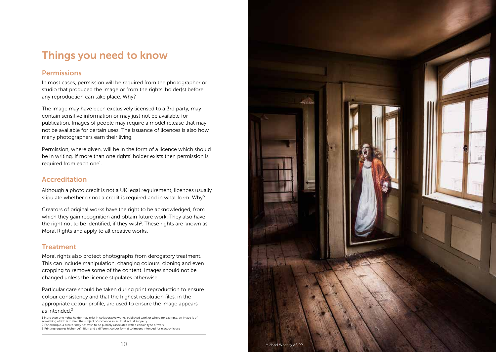# Things you need to know

## **Permissions**

In most cases, permission will be required from the photographer or studio that produced the image or from the rights' holder(s) before any reproduction can take place. Why?

The image may have been exclusively licensed to a 3rd party, may contain sensitive information or may just not be available for publication. Images of people may require a model release that may not be available for certain uses. The issuance of licences is also how many photographers earn their living.

Permission, where given, will be in the form of a licence which should be in writing. If more than one rights' holder exists then permission is required from each one<sup>1</sup>.

### Accreditation

Although a photo credit is not a UK legal requirement, licences usually stipulate whether or not a credit is required and in what form. Why?

Creators of original works have the right to be acknowledged, from which they gain recognition and obtain future work. They also have the right not to be identified, if they wish<sup>2</sup>. These rights are known as Moral Rights and apply to all creative works.

## **Treatment**

Moral rights also protect photographs from derogatory treatment. This can include manipulation, changing colours, cloning and even cropping to remove some of the content. Images should not be changed unless the licence stipulates otherwise.

Particular care should be taken during print reproduction to ensure colour consistency and that the highest resolution files, in the appropriate colour profile, are used to ensure the image appears as intended. $3$ 

1 More than one rights holder may exist in collaborative works, published work or where for example, an image is of something which is in itself the subject of someone elses' Intellectual Property 2 For example, a creator may not wish to be publicly associated with a certain type of work 3 Printing requires higher definition and a different colour format to images intended for electronic use

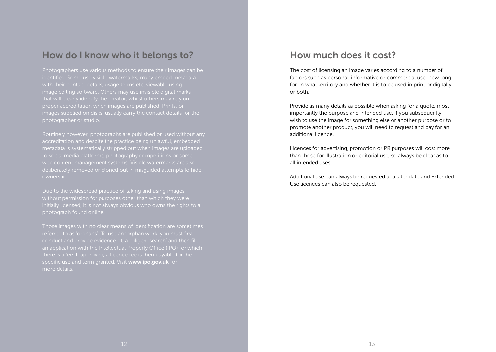## How do I know who it belongs to?

Photographers use various methods to ensure their images can be identified. Some use visible watermarks, many embed metadata with their contact details, usage terms etc, viewable using that will clearly identify the creator, whilst others may rely on proper accreditation when images are published. Prints, or images supplied on disks, usually carry the contact details for the photographer or studio.

Routinely however, photographs are published or used without any accreditation and despite the practice being unlawful, embedded metadata is systematically stripped out when images are uploaded to social media platforms, photography competitions or some web content management systems. Visible watermarks are also deliberately removed or cloned out in misguided attempts to hide ownership.

Due to the widespread practice of taking and using images without permission for purposes other than which they were photograph found online.

Those images with no clear means of identification are sometimes referred to as 'orphans'. To use an 'orphan work' you must first conduct and provide evidence of, a 'diligent search' and then file an application with the Intellectual Property Office (IPO) for which there is a fee. If approved, a licence fee is then payable for the specific use and term granted. Visit www.ipo.gov.uk for more details.

## How much does it cost?

The cost of licensing an image varies according to a number of factors such as personal, informative or commercial use, how long for, in what territory and whether it is to be used in print or digitally or both.

Provide as many details as possible when asking for a quote, most importantly the purpose and intended use. If you subsequently wish to use the image for something else or another purpose or to promote another product, you will need to request and pay for an additional licence.

Licences for advertising, promotion or PR purposes will cost more than those for illustration or editorial use, so always be clear as to all intended uses.

Additional use can always be requested at a later date and Extended Use licences can also be requested.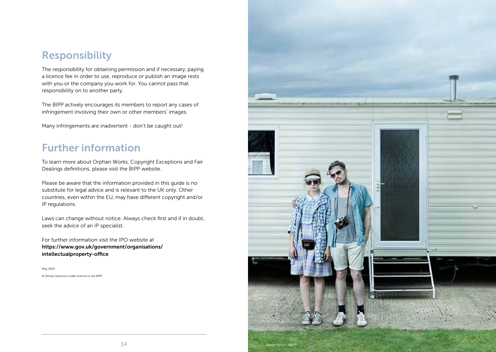# Responsibility

The responsibility for obtaining permission and if necessary, paying a licence fee in order to use, reproduce or publish an image rests with you or the company you work for. You cannot pass that responsibility on to another party.

The BIPP actively encourages its members to report any cases of infringement involving their own or other members' images.

Many infringements are inadvertent - don't be caught out!

# Further information

To learn more about Orphan Works, Copyright Exceptions and Fair Dealings definitions, please visit the BIPP website.

Please be aware that the information provided in this guide is no substitute for legal advice and is relevant to the UK only. Other countries, even within the EU, may have different copyright and/or IP regulations.

Laws can change without notice. Always check first and if in doubt, seek the advice of an IP specialist.

For further information visit the IPO website at https://www.gov.uk/government/organisations/ intellectualproperty-office

May 2015 © Denise Swanson under licence to the BIPP

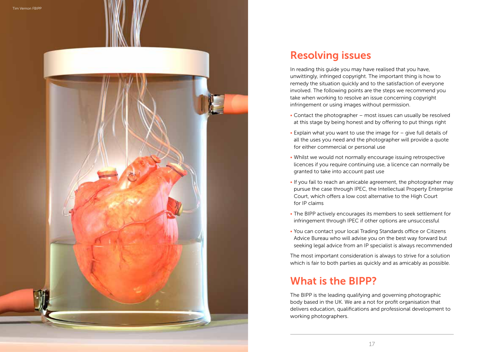

# Resolving issues

In reading this guide you may have realised that you have, unwittingly, infringed copyright. The important thing is how to remedy the situation quickly and to the satisfaction of everyone involved. The following points are the steps we recommend you take when working to resolve an issue concerning copyright infringement or using images without permission.

- Contact the photographer most issues can usually be resolved at this stage by being honest and by offering to put things right
- Explain what you want to use the image for give full details of all the uses you need and the photographer will provide a quote for either commercial or personal use
- Whilst we would not normally encourage issuing retrospective licences if you require continuing use, a licence can normally be granted to take into account past use
- If you fail to reach an amicable agreement, the photographer may pursue the case through IPEC, the Intellectual Property Enterprise Court, which offers a low cost alternative to the High Court for IP claims
- The BIPP actively encourages its members to seek settlement for infringement through IPEC if other options are unsuccessful
- You can contact your local Trading Standards office or Citizens Advice Bureau who will advise you on the best way forward but seeking legal advice from an IP specialist is always recommended

The most important consideration is always to strive for a solution which is fair to both parties as quickly and as amicably as possible.

# What is the BIPP?

The BIPP is the leading qualifying and governing photographic body based in the UK. We are a not for profit organisation that delivers education, qualifications and professional development to working photographers.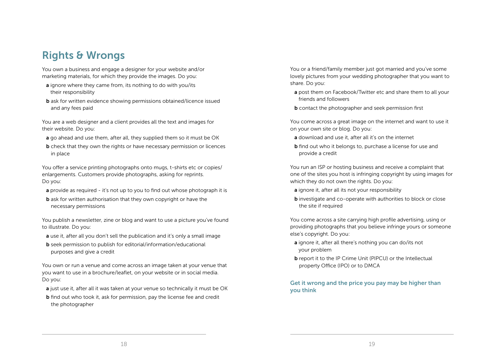# Rights & Wrongs

You own a business and engage a designer for your website and/or marketing materials, for which they provide the images. Do you:

- a ignore where they came from, its nothing to do with you/its their responsibility
- b ask for written evidence showing permissions obtained/licence issued and any fees paid

You are a web designer and a client provides all the text and images for their website. Do you:

- a go ahead and use them, after all, they supplied them so it must be OK
- **b** check that they own the rights or have necessary permission or licences in place

You offer a service printing photographs onto mugs, t-shirts etc or copies/ enlargements. Customers provide photographs, asking for reprints. Do you:

- a provide as required it's not up to you to find out whose photograph it is
- **b** ask for written authorisation that they own copyright or have the necessary permissions

You publish a newsletter, zine or blog and want to use a picture you've found to illustrate. Do you:

- a use it, after all you don't sell the publication and it's only a small image
- b seek permission to publish for editorial/information/educational purposes and give a credit

You own or run a venue and come across an image taken at your venue that you want to use in a brochure/leaflet, on your website or in social media. Do you:

- a just use it, after all it was taken at your venue so technically it must be OK
- **b** find out who took it, ask for permission, pay the license fee and credit the photographer

You or a friend/family member just got married and you've some lovely pictures from your wedding photographer that you want to share. Do you:

- a post them on Facebook/Twitter etc and share them to all your friends and followers
- **b** contact the photographer and seek permission first

You come across a great image on the internet and want to use it on your own site or blog. Do you:

- a download and use it, after all it's on the internet
- **b** find out who it belongs to, purchase a license for use and provide a credit

You run an ISP or hosting business and receive a complaint that one of the sites you host is infringing copyright by using images for which they do not own the rights. Do you:

- a ignore it, after all its not your responsibility
- **b** investigate and co-operate with authorities to block or close the site if required

You come across a site carrying high profile advertising, using or providing photographs that you believe infringe yours or someone else's copyright. Do you:

- a ignore it, after all there's nothing you can do/its not your problem
- b report it to the IP Crime Unit (PIPCU) or the Intellectual property Office (IPO) or to DMCA

Get it wrong and the price you pay may be higher than you think